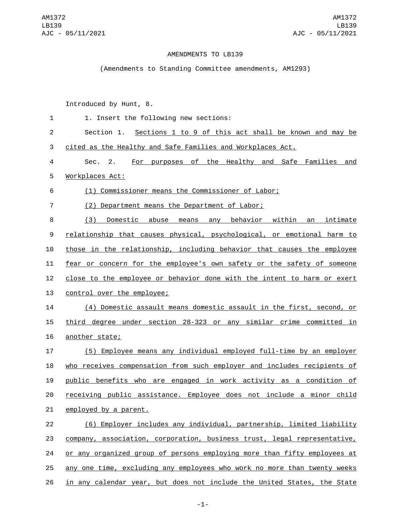## AMENDMENTS TO LB139

(Amendments to Standing Committee amendments, AM1293)

Introduced by Hunt, 8.

| 1              | 1. Insert the following new sections:                                         |
|----------------|-------------------------------------------------------------------------------|
| $\overline{c}$ | Section 1. Sections 1 to 9 of this act shall be known and may be              |
| 3              | cited as the Healthy and Safe Families and Workplaces Act.                    |
| 4              | For purposes of the Healthy and Safe Families and<br>Sec. 2.                  |
| 5              | Workplaces Act:                                                               |
| 6              | (1) Commissioner means the Commissioner of Labor;                             |
| 7              | (2) Department means the Department of Labor;                                 |
| 8              | (3)<br>Domestic abuse means any behavior within an intimate                   |
| 9              | <u>relationship that causes physical, psychological, or emotional harm to</u> |
| 10             | those in the relationship, including behavior that causes the employee        |
| 11             | fear or concern for the employee's own safety or the safety of someone        |
| 12             | close to the employee or behavior done with the intent to harm or exert       |
| 13             | control over the employee;                                                    |
| 14             | (4) Domestic assault means domestic assault in the first, second, or          |
| 15             | third degree under section 28-323 or any similar crime committed in           |
| 16             | another state;                                                                |
| 17             | (5) Employee means any individual employed full-time by an employer           |
| 18             | who receives compensation from such employer and includes recipients of       |
| 19             | public benefits who are engaged in work activity as a condition of            |
| 20             | receiving public assistance. Employee does not include a minor child          |
| 21             | employed by a parent.                                                         |
| 22             | (6) Employer includes any individual, partnership, limited liability          |
| 23             | company, association, corporation, business trust, legal representative,      |
| 24             | or any organized group of persons employing more than fifty employees at      |
| 25             | any one time, excluding any employees who work no more than twenty weeks      |
| 26             | in any calendar year, but does not include the United States, the State       |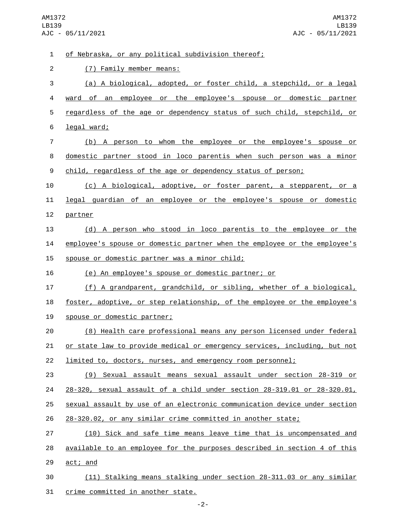of Nebraska, or any political subdivision thereof;1 (7) Family member means:2 (a) A biological, adopted, or foster child, a stepchild, or a legal ward of an employee or the employee's spouse or domestic partner regardless of the age or dependency status of such child, stepchild, or 6 legal ward; (b) A person to whom the employee or the employee's spouse or domestic partner stood in loco parentis when such person was a minor 9 child, regardless of the age or dependency status of person; (c) A biological, adoptive, or foster parent, a stepparent, or a legal guardian of an employee or the employee's spouse or domestic 12 partner (d) A person who stood in loco parentis to the employee or the employee's spouse or domestic partner when the employee or the employee's 15 spouse or domestic partner was a minor child; (e) An employee's spouse or domestic partner; or (f) A grandparent, grandchild, or sibling, whether of a biological, 18 foster, adoptive, or step relationship, of the employee or the employee's 19 spouse or domestic partner; (8) Health care professional means any person licensed under federal 21 or state law to provide medical or emergency services, including, but not limited to, doctors, nurses, and emergency room personnel; (9) Sexual assault means sexual assault under section 28-319 or 28-320, sexual assault of a child under section 28-319.01 or 28-320.01, sexual assault by use of an electronic communication device under section 28-320.02, or any similar crime committed in another state; (10) Sick and safe time means leave time that is uncompensated and available to an employee for the purposes described in section 4 of this 29 act; and (11) Stalking means stalking under section 28-311.03 or any similar 31 crime committed in another state.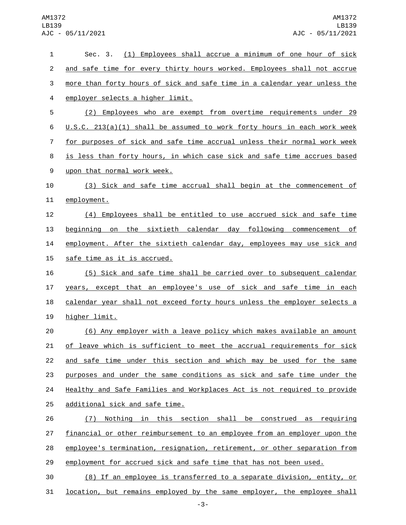| and safe time for every thirty hours worked. Employees shall not accrue<br>more than forty hours of sick and safe time in a calendar year unless the<br>employer selects a higher limit.<br>(2) Employees who are exempt from overtime requirements under 29<br>$U.S.C. 213(a)(1)$ shall be assumed to work forty hours in each work week |
|-------------------------------------------------------------------------------------------------------------------------------------------------------------------------------------------------------------------------------------------------------------------------------------------------------------------------------------------|
|                                                                                                                                                                                                                                                                                                                                           |
|                                                                                                                                                                                                                                                                                                                                           |
|                                                                                                                                                                                                                                                                                                                                           |
|                                                                                                                                                                                                                                                                                                                                           |
|                                                                                                                                                                                                                                                                                                                                           |
| for purposes of sick and safe time accrual unless their normal work week                                                                                                                                                                                                                                                                  |
| is less than forty hours, in which case sick and safe time accrues based                                                                                                                                                                                                                                                                  |
| upon that normal work week.                                                                                                                                                                                                                                                                                                               |
| (3) Sick and safe time accrual shall begin at the commencement of                                                                                                                                                                                                                                                                         |
| employment.                                                                                                                                                                                                                                                                                                                               |
| (4) Employees shall be entitled to use accrued sick and safe time                                                                                                                                                                                                                                                                         |
| beginning on the sixtieth calendar day following commencement of                                                                                                                                                                                                                                                                          |
| employment. After the sixtieth calendar day, employees may use sick and                                                                                                                                                                                                                                                                   |
| safe time as it is accrued.                                                                                                                                                                                                                                                                                                               |
| (5) Sick and safe time shall be carried over to subsequent calendar                                                                                                                                                                                                                                                                       |
| years, except that an employee's use of sick and safe time in each                                                                                                                                                                                                                                                                        |
| calendar year shall not exceed forty hours unless the employer selects a                                                                                                                                                                                                                                                                  |
| higher limit.                                                                                                                                                                                                                                                                                                                             |
| (6) Any employer with a leave policy which makes available an amount                                                                                                                                                                                                                                                                      |
| of leave which is sufficient to meet the accrual requirements for sick                                                                                                                                                                                                                                                                    |
| and safe time under this section and which may be used for the same                                                                                                                                                                                                                                                                       |
| purposes and under the same conditions as sick and safe time under the                                                                                                                                                                                                                                                                    |
| Healthy and Safe Families and Workplaces Act is not required to provide                                                                                                                                                                                                                                                                   |
| additional sick and safe time.                                                                                                                                                                                                                                                                                                            |
| Nothing in this section shall be construed as requiring<br>(7)                                                                                                                                                                                                                                                                            |
| financial or other reimbursement to an employee from an employer upon the                                                                                                                                                                                                                                                                 |
| employee's termination, resignation, retirement, or other separation from                                                                                                                                                                                                                                                                 |
| employment for accrued sick and safe time that has not been used.                                                                                                                                                                                                                                                                         |
| (8) If an employee is transferred to a separate division, entity, or                                                                                                                                                                                                                                                                      |
|                                                                                                                                                                                                                                                                                                                                           |

**location, but remains employed by the same employer, the employee shall**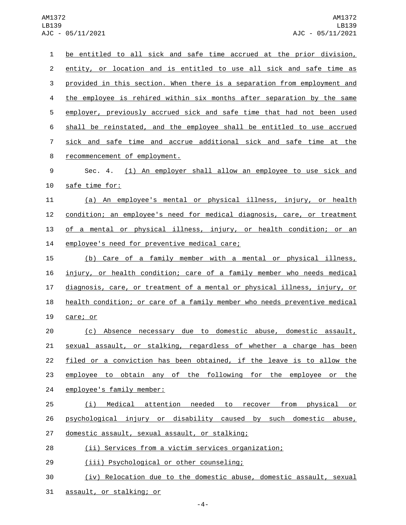| $\mathbf{1}$   | be entitled to all sick and safe time accrued at the prior division,      |
|----------------|---------------------------------------------------------------------------|
| $\overline{2}$ | entity, or location and is entitled to use all sick and safe time as      |
| 3              | provided in this section. When there is a separation from employment and  |
| 4              | the employee is rehired within six months after separation by the same    |
| 5              | employer, previously accrued sick and safe time that had not been used    |
| 6              | shall be reinstated, and the employee shall be entitled to use accrued    |
| $\overline{7}$ | sick and safe time and accrue additional sick and safe time at the        |
| 8              | recommencement of employment.                                             |
| 9              | Sec. 4. (1) An employer shall allow an employee to use sick and           |
| 10             | safe time for:                                                            |
| 11             | (a) An employee's mental or physical illness, injury, or health           |
| 12             | condition; an employee's need for medical diagnosis, care, or treatment   |
| 13             | of a mental or physical illness, injury, or health condition; or an       |
| 14             | employee's need for preventive medical care;                              |
| 15             | (b) Care of a family member with a mental or physical illness,            |
| 16             | injury, or health condition; care of a family member who needs medical    |
| 17             | diagnosis, care, or treatment of a mental or physical illness, injury, or |
| 18             | health condition; or care of a family member who needs preventive medical |
| 19             | care; or                                                                  |
| 20             | (c) Absence necessary due to domestic abuse, domestic assault,            |
| 21             | sexual assault, or stalking, regardless of whether a charge has been      |
| 22             | filed or a conviction has been obtained, if the leave is to allow the     |
| 23             | employee to obtain any of the following for the employee or the           |
| 24             | employee's family member:                                                 |
| 25             | (i) Medical attention needed to recover from physical or                  |
| 26             | psychological injury or disability caused by such domestic abuse,         |
| 27             | domestic assault, sexual assault, or stalking;                            |
| 28             | (ii) Services from a victim services organization;                        |
| 29             | (iii) Psychological or other counseling;                                  |
| 30             | (iv) Relocation due to the domestic abuse, domestic assault, sexual       |
| 31             | assault, or stalking; or                                                  |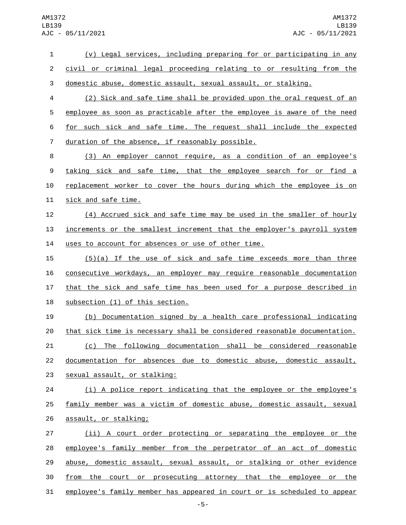| $\mathbf{1}$   | (v) Legal services, including preparing for or participating in any       |
|----------------|---------------------------------------------------------------------------|
| $\overline{c}$ | civil or criminal legal proceeding relating to or resulting from the      |
| 3              | domestic abuse, domestic assault, sexual assault, or stalking.            |
| 4              | (2) Sick and safe time shall be provided upon the oral request of an      |
| 5              | employee as soon as practicable after the employee is aware of the need   |
| 6              | for such sick and safe time. The request shall include the expected       |
| $\overline{7}$ | duration of the absence, if reasonably possible.                          |
| 8              | (3) An employer cannot require, as a condition of an employee's           |
| 9              | taking sick and safe time, that the employee search for or find a         |
| 10             | replacement worker to cover the hours during which the employee is on     |
| 11             | sick and safe time.                                                       |
| 12             | (4) Accrued sick and safe time may be used in the smaller of hourly       |
| 13             | increments or the smallest increment that the employer's payroll system   |
| 14             | uses to account for absences or use of other time.                        |
| 15             | (5)(a) If the use of sick and safe time exceeds more than three           |
| 16             | consecutive workdays, an employer may require reasonable documentation    |
| 17             | that the sick and safe time has been used for a purpose described in      |
| 18             | subsection (1) of this section.                                           |
| 19             | (b) Documentation signed by a health care professional indicating         |
| 20             | that sick time is necessary shall be considered reasonable documentation. |
| 21             | (c) The following documentation shall be considered reasonable            |
| 22             | documentation for absences due to domestic abuse, domestic assault,       |
| 23             | sexual assault, or stalking:                                              |
| 24             | (i) A police report indicating that the employee or the employee's        |
| 25             | family member was a victim of domestic abuse, domestic assault, sexual    |
| 26             | assault, or stalking;                                                     |
| 27             | (ii) A court order protecting or separating the employee or the           |
| 28             | employee's family member from the perpetrator of an act of domestic       |
| 29             | abuse, domestic assault, sexual assault, or stalking or other evidence    |
| 30             | from the court or prosecuting attorney that the employee or the           |
| 31             | employee's family member has appeared in court or is scheduled to appear  |
|                |                                                                           |

-5-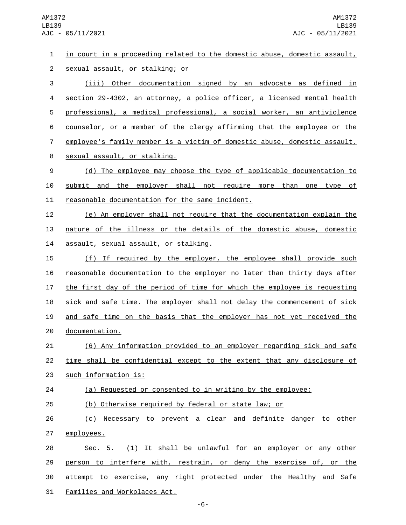in court in a proceeding related to the domestic abuse, domestic assault, 2 sexual assault, or stalking; or (iii) Other documentation signed by an advocate as defined in section 29-4302, an attorney, a police officer, a licensed mental health professional, a medical professional, a social worker, an antiviolence counselor, or a member of the clergy affirming that the employee or the employee's family member is a victim of domestic abuse, domestic assault, 8 sexual assault, or stalking. (d) The employee may choose the type of applicable documentation to submit and the employer shall not require more than one type of 11 reasonable documentation for the same incident. (e) An employer shall not require that the documentation explain the nature of the illness or the details of the domestic abuse, domestic 14 assault, sexual assault, or stalking. (f) If required by the employer, the employee shall provide such reasonable documentation to the employer no later than thirty days after the first day of the period of time for which the employee is requesting sick and safe time. The employer shall not delay the commencement of sick and safe time on the basis that the employer has not yet received the 20 documentation. (6) Any information provided to an employer regarding sick and safe time shall be confidential except to the extent that any disclosure of 23 such information is: (a) Requested or consented to in writing by the employee; (b) Otherwise required by federal or state law; or (c) Necessary to prevent a clear and definite danger to other 27 employees. Sec. 5. (1) It shall be unlawful for an employer or any other 29 person to interfere with, restrain, or deny the exercise of, or the attempt to exercise, any right protected under the Healthy and Safe 31 Families and Workplaces Act.

-6-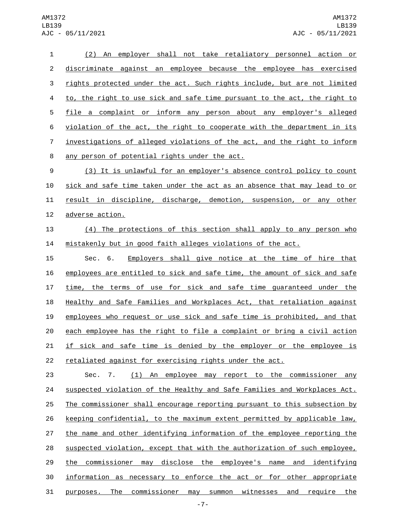(2) An employer shall not take retaliatory personnel action or discriminate against an employee because the employee has exercised 3 rights protected under the act. Such rights include, but are not limited to, the right to use sick and safe time pursuant to the act, the right to file a complaint or inform any person about any employer's alleged violation of the act, the right to cooperate with the department in its investigations of alleged violations of the act, and the right to inform 8 any person of potential rights under the act.

 (3) It is unlawful for an employer's absence control policy to count sick and safe time taken under the act as an absence that may lead to or result in discipline, discharge, demotion, suspension, or any other 12 adverse action.

 (4) The protections of this section shall apply to any person who mistakenly but in good faith alleges violations of the act.

 Sec. 6. Employers shall give notice at the time of hire that employees are entitled to sick and safe time, the amount of sick and safe time, the terms of use for sick and safe time guaranteed under the 18 Healthy and Safe Families and Workplaces Act, that retaliation against employees who request or use sick and safe time is prohibited, and that each employee has the right to file a complaint or bring a civil action 21 if sick and safe time is denied by the employer or the employee is retaliated against for exercising rights under the act.

 Sec. 7. (1) An employee may report to the commissioner any suspected violation of the Healthy and Safe Families and Workplaces Act. The commissioner shall encourage reporting pursuant to this subsection by keeping confidential, to the maximum extent permitted by applicable law, 27 the name and other identifying information of the employee reporting the suspected violation, except that with the authorization of such employee, 29 the commissioner may disclose the employee's name and identifying information as necessary to enforce the act or for other appropriate purposes. The commissioner may summon witnesses and require the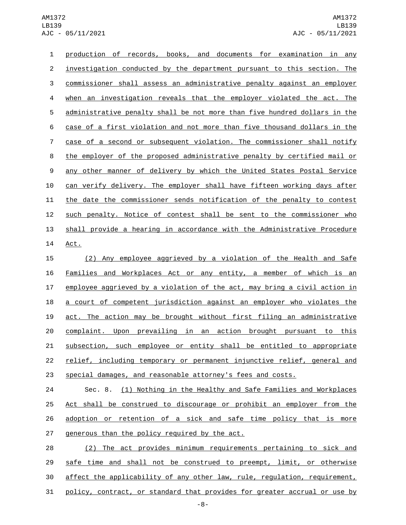production of records, books, and documents for examination in any investigation conducted by the department pursuant to this section. The commissioner shall assess an administrative penalty against an employer when an investigation reveals that the employer violated the act. The administrative penalty shall be not more than five hundred dollars in the case of a first violation and not more than five thousand dollars in the case of a second or subsequent violation. The commissioner shall notify the employer of the proposed administrative penalty by certified mail or any other manner of delivery by which the United States Postal Service can verify delivery. The employer shall have fifteen working days after the date the commissioner sends notification of the penalty to contest 12 such penalty. Notice of contest shall be sent to the commissioner who shall provide a hearing in accordance with the Administrative Procedure 14 Act.

 (2) Any employee aggrieved by a violation of the Health and Safe Families and Workplaces Act or any entity, a member of which is an employee aggrieved by a violation of the act, may bring a civil action in a court of competent jurisdiction against an employer who violates the act. The action may be brought without first filing an administrative complaint. Upon prevailing in an action brought pursuant to this subsection, such employee or entity shall be entitled to appropriate relief, including temporary or permanent injunctive relief, general and special damages, and reasonable attorney's fees and costs.

 Sec. 8. (1) Nothing in the Healthy and Safe Families and Workplaces Act shall be construed to discourage or prohibit an employer from the adoption or retention of a sick and safe time policy that is more 27 generous than the policy required by the act.

 (2) The act provides minimum requirements pertaining to sick and safe time and shall not be construed to preempt, limit, or otherwise affect the applicability of any other law, rule, regulation, requirement, policy, contract, or standard that provides for greater accrual or use by